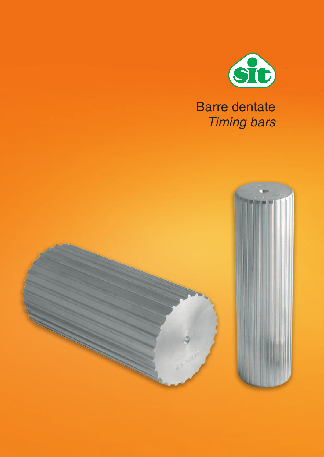

# **Barre dentate Timing bars**

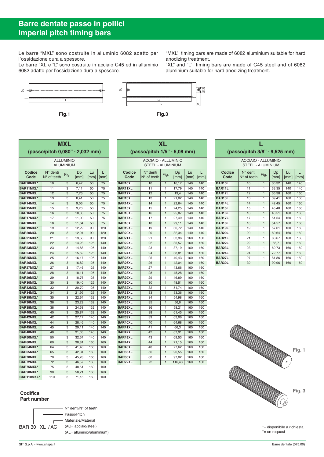## **Barre dentate passo in pollici Imperial pitch timing bars**

Le barre "MXL" sono costruite in alluminio 6082 adatto per l'ossidazione dura a spessore.

Le barre "XL e "L" sono costruite in acciaio C45 ed in alluminio 6082 adatto per l'ossidazione dura a spessore.



**Fig.1 Fig.3**



| <b>ALLUMINIO</b><br>ALUMINIUM<br>$N^{\circ}$ denti<br>Codice<br>Lu<br>Dp<br>L<br>Fig.<br>$N^{\circ}$ of teeth<br>Code<br>[mm]<br>[mm]<br>[mm]<br>BAR10MXL*<br>10<br>6,47<br>75<br>3<br>50 |  |
|-------------------------------------------------------------------------------------------------------------------------------------------------------------------------------------------|--|
|                                                                                                                                                                                           |  |
|                                                                                                                                                                                           |  |
|                                                                                                                                                                                           |  |
| BAR11MXL*<br>75<br>11<br>3<br>7,11<br>50                                                                                                                                                  |  |
| BAR12MXL<br>12<br>3<br>7,76<br>50<br>75                                                                                                                                                   |  |
| BAR13MXL*<br>3<br>75<br>13<br>8,41<br>50                                                                                                                                                  |  |
| BAR14MXL<br>3<br>14<br>9,06<br>50<br>75                                                                                                                                                   |  |
| <b>BAR15MXL</b><br>9,70<br>15<br>3<br>50<br>75                                                                                                                                            |  |
| <b>BAR16MXL</b><br>16<br>3<br>10,35<br>50<br>75                                                                                                                                           |  |
| BAR17MXL*<br>3<br>75<br>17<br>11,00<br>50                                                                                                                                                 |  |
| BAR18MXL<br>3<br>75<br>18<br>11,64<br>50                                                                                                                                                  |  |
| BAR19MXL*<br>120<br>19<br>3<br>12,29<br>90                                                                                                                                                |  |
| BAR20MXL<br>3<br>12,94<br>120<br>20<br>90                                                                                                                                                 |  |
| BAR21MXL*<br>120<br>21<br>3<br>13,58<br>90                                                                                                                                                |  |
| BAR22MXL<br>22<br>3<br>14,23<br>125<br>140                                                                                                                                                |  |
| BAR23MXL*<br>3<br>14,88<br>125<br>23<br>140                                                                                                                                               |  |
| BAR24MXL<br>24<br>15,52<br>125<br>3<br>140                                                                                                                                                |  |
| BAR25MXL<br>25<br>3<br>16,17<br>125<br>140                                                                                                                                                |  |
| BAR26MXL<br>3<br>16,82<br>125<br>140<br>26                                                                                                                                                |  |
| BAR27MXL*<br>27<br>3<br>17,46<br>125<br>140                                                                                                                                               |  |
| BAR28MXL<br>28<br>3<br>18,11<br>125<br>140                                                                                                                                                |  |
| BAR29MXL*<br>29<br>3<br>18,76<br>125<br>140                                                                                                                                               |  |
| <b>BAR30MXL</b><br>30<br>3<br>19,40<br>125<br>140                                                                                                                                         |  |
| BAR32MXL<br>32<br>3<br>20,70<br>125<br>140                                                                                                                                                |  |
| BAR34MXL<br>34<br>3<br>125<br>140<br>21,99                                                                                                                                                |  |
| BAR35MXL*<br>35<br>3<br>22,64<br>132<br>140                                                                                                                                               |  |
| <b>BAR36MXL</b><br>3<br>36<br>23,29<br>132<br>140                                                                                                                                         |  |
| BAR38MXL<br>24,58<br>3<br>132<br>140<br>38                                                                                                                                                |  |
| <b>BAR40MXL</b><br>40<br>3<br>25,87<br>132<br>140                                                                                                                                         |  |
| <b>BAR42MXL</b><br>42<br>3<br>27,17<br>140<br>140                                                                                                                                         |  |
| BAR44MXL<br>44<br>3<br>28,46<br>140<br>140                                                                                                                                                |  |
| BAR45MXL<br>45<br>3<br>29,11<br>140<br>140                                                                                                                                                |  |
| BAR48MXL<br>48<br>3<br>140<br>140<br>31,05                                                                                                                                                |  |
| BAR50MXL*<br>32.34<br>50<br>3<br>140<br>140                                                                                                                                               |  |
| <b>BAR60MXL</b><br>60<br>3<br>38,81<br>160<br>160                                                                                                                                         |  |
| BAR64MXL*<br>64<br>3<br>41,40<br>160<br>160                                                                                                                                               |  |
| BAR65MXL*<br>3<br>42,04<br>65<br>160<br>160                                                                                                                                               |  |
| <b>BAR70MXL</b><br>70<br>3<br>45,28<br>160<br>160                                                                                                                                         |  |
| <b>BAR72MXL</b><br>3<br>46,57<br>160<br>72<br>160                                                                                                                                         |  |
| BAR75MXL*<br>75<br>3<br>48,51<br>160<br>160                                                                                                                                               |  |
| BAR90MXL*<br>3<br>90<br>58,21<br>160<br>160                                                                                                                                               |  |
| BAR110MXL*<br>110<br>3<br>71,15<br>160<br>160                                                                                                                                             |  |

| XL                                                     |                                           |                |            |                          |           |  |  |  |
|--------------------------------------------------------|-------------------------------------------|----------------|------------|--------------------------|-----------|--|--|--|
| (passo/pitch 1/5" - 5,08 mm)                           |                                           |                |            |                          |           |  |  |  |
| <b>ACCIAIO - ALLUMINIO</b><br><b>STEEL - ALUMINIUM</b> |                                           |                |            |                          |           |  |  |  |
| Codice<br>Code                                         | $N^{\circ}$ denti<br>$N^{\circ}$ of teeth | Fig.           | Dp<br>[mm] | Lu<br>$\lceil mm \rceil$ | L<br>[mm] |  |  |  |
| BAR10XL                                                | 10                                        | $\mathbf{1}$   | 16,17      | 140                      | 140       |  |  |  |
| BAR11XL                                                | 11                                        | 1              | 17,79      | 140                      | 140       |  |  |  |
| BAR12XL                                                | 12                                        | $\mathbf{1}$   | 19,4       | 140                      | 140       |  |  |  |
| BAR13XL                                                | 13                                        | 1              | 21,02      | 140                      | 140       |  |  |  |
| BAR14XL                                                | 14                                        | 1              | 22,64      | 140                      | 140       |  |  |  |
| BAR15XL                                                | 15                                        | 1              | 24,25      | 140                      | 140       |  |  |  |
| BAR16XL                                                | 16                                        | 1              | 25,87      | 140                      | 140       |  |  |  |
| <b>BAR17XL</b>                                         | 17                                        | 1              | 27,49      | 140                      | 140       |  |  |  |
| BAR18XL                                                | 18                                        | $\mathbf{1}$   | 29,11      | 140                      | 140       |  |  |  |
| BAR19XL                                                | 19                                        | 1              | 30,72      | 140                      | 140       |  |  |  |
| BAR20XL                                                | 20                                        | 1              | 32,34      | 140                      | 140       |  |  |  |
| BAR21XL                                                | 21                                        | 1              | 33,96      | 160                      | 160       |  |  |  |
| BAR22XL                                                | 22                                        | 1              | 35,57      | 160                      | 160       |  |  |  |
| BAR23XL                                                | 23                                        | 1              | 37,19      | 160                      | 160       |  |  |  |
| BAR24XL                                                | 24                                        | 1              | 38,81      | 160                      | 160       |  |  |  |
| BAR25XL                                                | 25                                        | 1              | 40,43      | 160                      | 160       |  |  |  |
| BAR26XL                                                | 26                                        | 1              | 42,04      | 160                      | 160       |  |  |  |
| BAR27XL                                                | 27                                        | 1              | 43,66      | 160                      | 160       |  |  |  |
| BAR28XL                                                | 28                                        | $\mathbf{1}$   | 45,28      | 160                      | 160       |  |  |  |
| BAR29XL                                                | 29                                        | 1              | 46,89      | 160                      | 160       |  |  |  |
| BAR30XL                                                | 30                                        | $\mathbf{1}$   | 48,51      | 160                      | 160       |  |  |  |
| BAR32XL                                                | 32                                        | 1              | 51,74      | 160                      | 160       |  |  |  |
| BAR33XL                                                | 33                                        | $\overline{1}$ | 53,36      | 160                      | 160       |  |  |  |
| BAR34XL                                                | 34                                        | 1              | 54,98      | 160                      | 160       |  |  |  |
| BAR35XL                                                | 35                                        | 1              | 56,6       | 160                      | 160       |  |  |  |
| BAR36XL                                                | 36                                        | 1              | 58,21      | 160                      | 160       |  |  |  |
| BAR38XL                                                | 38                                        | 1              | 61,45      | 160                      | 160       |  |  |  |
| BAR39XL                                                | 39                                        | 1              | 63,06      | 160                      | 160       |  |  |  |
| BAR40XL                                                | 40                                        | 1              | 64,68      | 160                      | 160       |  |  |  |
| BAR41XL                                                | 41                                        | 1              | 66,3       | 160                      | 160       |  |  |  |
| BAR42XL                                                | 42                                        | $\mathbf{1}$   | 67,91      | 160                      | 160       |  |  |  |
| BAR43XL                                                | 43                                        | 1              | 69,53      | 160                      | 160       |  |  |  |
| BAR44XL                                                | 44                                        | $\mathbf{1}$   | 71,15      | 160                      | 160       |  |  |  |
| BAR48XL                                                | 48                                        | 1              | 77,62      | 160                      | 160       |  |  |  |
| BAR56XL                                                | 56                                        | $\mathbf{1}$   | 90,55      | 160                      | 160       |  |  |  |
| BAR60XL                                                | 60                                        | 1              | 97,02      | 160                      | 160       |  |  |  |
| BAR72XL                                                | 72                                        | $\overline{1}$ | 116,43     | 160                      | 160       |  |  |  |

| (passo/pitch 3/8" - 9,525 mm) |                                                        |              |            |            |           |  |
|-------------------------------|--------------------------------------------------------|--------------|------------|------------|-----------|--|
|                               | <b>ACCIAIO - ALLUMINIO</b><br><b>STEEL - ALUMINIUM</b> |              |            |            |           |  |
| Codice<br>Code                | $N^{\circ}$ denti<br>$N^{\circ}$ of teeth              | Fig.         | Dp<br>[mm] | Lu<br>[mm] | L<br>[mm] |  |
| BAR10L                        | 10                                                     | 1            | 30,32      | 140        | 140       |  |
| BAR11L                        | 11                                                     | 1            | 33.35      | 140        | 140       |  |
| <b>BAR12L</b>                 | 12                                                     | $\mathbf{1}$ | 36.38      | 160        | 160       |  |
| BAR13L                        | 13                                                     | 1            | 39,41      | 160        | 160       |  |
| BAR14L                        | 14                                                     | 1            | 42.45      | 160        | 160       |  |
| BAR15L                        | 15                                                     | 1            | 45.48      | 160        | 160       |  |
| BAR16L                        | 16                                                     | $\mathbf{1}$ | 48.51      | 160        | 160       |  |
| BAR17L                        | 17                                                     | 1            | 51,54      | 160        | 160       |  |
| BAR18L                        | 18                                                     | $\mathbf{1}$ | 54.57      | 160        | 160       |  |
| BAR19L                        | 19                                                     | 1            | 57.61      | 160        | 160       |  |
| BAR20L                        | 20                                                     | $\mathbf{1}$ | 60.64      | 160        | 160       |  |
| <b>BAR21L</b>                 | 21                                                     | 1            | 63,67      | 160        | 160       |  |
| BAR22L                        | 22                                                     | $\mathbf{1}$ | 66.7       | 160        | 160       |  |
| BAR23L                        | 23                                                     | 1            | 69,73      | 160        | 160       |  |
| BAR24L                        | 24                                                     | $\mathbf{1}$ | 72.77      | 160        | 160       |  |
| BAR27L                        | 27                                                     | 1            | 81,86      | 160        | 160       |  |
| BAR30L                        | 30                                                     | $\mathbf{1}$ | 90,96      | 160        | 160       |  |



\*= disponibile a richiesta \*= on request

#### **Codifica Part number**



"MXL" timing bars are made of 6082 aluminium suitable for hard anodizing treatment.

"XL" and "L" timing bars are made of C45 steel and of 6082 aluminium suitable for hard anodizing treatment.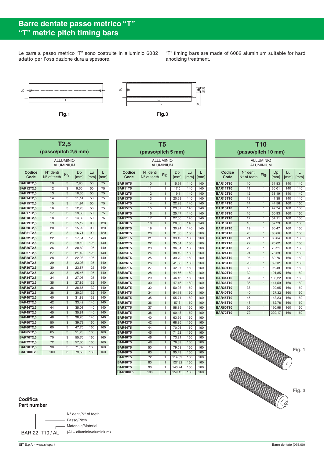# **Barre dentate passo metrico "T" "T" metric pitch timing bars**

Le barre a passo metrico "T" sono costruite in alluminio 6082 adatto per l'ossidazione dura a spessore.

"T" timing bars are made of 6082 aluminium suitable for hard anodizing treatment.





| T2,5<br>(passo/pitch 2.5 mm)  |                                           |      |            |            |           |  |  |  |
|-------------------------------|-------------------------------------------|------|------------|------------|-----------|--|--|--|
| <b>ALLUMINIO</b><br>ALUMINIUM |                                           |      |            |            |           |  |  |  |
| Codice<br>Code                | $N^{\circ}$ denti<br>$N^{\circ}$ of teeth | Fig. | Dp<br>[mm] | Lu<br>[mm] | L<br>[mm] |  |  |  |
| <b>BAR10T2,5</b>              | 10                                        | 3    | 7,96       | 50         | 75        |  |  |  |
| <b>BAR12T2,5</b>              | 12                                        | 3    | 9,55       | 50         | 75        |  |  |  |
| <b>BAR13T2,5</b>              | 13                                        | 3    | 10,35      | 50         | 75        |  |  |  |
| <b>BAR14T2,5</b>              | 14                                        | 3    | 11,14      | 50         | 75        |  |  |  |
| <b>BAR15T2,5</b>              | 15                                        | 3    | 11,94      | 50         | 75        |  |  |  |
| <b>BAR16T2,5</b>              | 16                                        | 3    | 12,73      | 50         | 75        |  |  |  |
| <b>BAR17T2,5</b>              | 17                                        | 3    | 13,53      | 50         | 75        |  |  |  |
| <b>BAR18T2,5</b>              | 18                                        | 3    | 14,32      | 50         | 75        |  |  |  |
| <b>BAR19T2,5</b>              | 19                                        | 3    | 15,12      | 90         | 120       |  |  |  |
| <b>BAR20T2,5</b>              | 20                                        | 3    | 15,92      | 90         | 120       |  |  |  |
| <b>BAR21T2.5</b>              | 21                                        | 3    | 16,71      | 90         | 120       |  |  |  |
| <b>BAR22T2.5</b>              | 22                                        | 3    | 17,51      | 125        | 140       |  |  |  |
| <b>BAR24T2,5</b>              | 24                                        | 3    | 19,10      | 125        | 140       |  |  |  |
| <b>BAR26T2.5</b>              | 26                                        | 3    | 20,69      | 125        | 140       |  |  |  |
| <b>BAR27T2,5</b>              | 27                                        | 3    | 21,49      | 125        | 140       |  |  |  |
| <b>BAR28T2.5</b>              | 28                                        | 3    | 22,28      | 125        | 140       |  |  |  |
| <b>BAR29T2,5</b>              | 29                                        | 3    | 23,08      | 125        | 140       |  |  |  |
| <b>BAR30T2,5</b>              | 30                                        | 3    | 23,87      | 125        | 140       |  |  |  |
| <b>BAR32T2,5</b>              | 32                                        | 3    | 25,46      | 125        | 140       |  |  |  |
| <b>BAR34T2,5</b>              | 34                                        | 3    | 27,06      | 125        | 140       |  |  |  |
| <b>BAR35T2,5</b>              | 35                                        | 3    | 27,85      | 132        | 140       |  |  |  |
| <b>BAR36T2,5</b>              | 36                                        | 3    | 28,65      | 132        | 140       |  |  |  |
| <b>BAR38T2,5</b>              | 38                                        | 3    | 30,24      | 132        | 140       |  |  |  |
| <b>BAR40T2,5</b>              | 40                                        | 3    | 31,83      | 132        | 140       |  |  |  |
| <b>BAR42T2,5</b>              | 42                                        | 3    | 33,42      | 140        | 140       |  |  |  |
| <b>BAR44T2.5</b>              | 44                                        | 3    | 35,01      | 140        | 140       |  |  |  |
| <b>BAR45T2.5</b>              | 45                                        | 3    | 35,81      | 140        | 140       |  |  |  |
| <b>BAR48T2,5</b>              | 48                                        | 3    | 38,20      | 140        | 140       |  |  |  |
| <b>BAR50T2,5</b>              | 50                                        | 3    | 39,79      | 160        | 160       |  |  |  |
| <b>BAR60T2,5</b>              | 60                                        | 3    | 47,75      | 160        | 160       |  |  |  |
| <b>BAR65T2,5</b>              | 65                                        | 3    | 51,73      | 160        | 160       |  |  |  |
| <b>BAR70T2,5</b>              | 70                                        | 3    | 55,70      | 160        | 160       |  |  |  |
| <b>BAR72T2,5</b>              | 72                                        | 3    | 57,30      | 160        | 160       |  |  |  |
| <b>BAR90T2,5</b>              | 90                                        | 3    | 71,62      | 160        | 160       |  |  |  |
| <b>BAR100T2,5</b>             | 100                                       | 3    | 79,58      | 160        | 160       |  |  |  |

| T5                                   |                         |                   |               |            |            |  |  |
|--------------------------------------|-------------------------|-------------------|---------------|------------|------------|--|--|
| (passo/pitch 5 mm)                   |                         |                   |               |            |            |  |  |
| <b>ALLUMINIO</b><br><b>ALUMINIUM</b> |                         |                   |               |            |            |  |  |
| Codice<br>Code                       | N° denti<br>N° of teeth | Fig.              | Dp<br>[mm]    | Lu<br>[mm] | L<br>[mm]  |  |  |
| <b>BAR10T5</b>                       | 10                      | $\mathbf{1}$      | 15,91         | 140        | 140        |  |  |
| <b>BAR11T5</b>                       | 11                      | 1                 | 17,5          | 140        | 140        |  |  |
| <b>BAR12T5</b>                       | 12                      | $\mathbf{1}$      | 19,1          | 140        | 140        |  |  |
| <b>BAR13T5</b>                       | 13                      | 1                 | 20,69         | 140        | 140        |  |  |
| <b>BAR14T5</b>                       | 14                      | 1                 | 22,28         | 140        | 140        |  |  |
| <b>BAR15T5</b>                       | 15                      | 1                 | 23,87         | 140        | 140        |  |  |
| <b>BAR16T5</b>                       | 16                      | $\mathbf{1}$      | 25,47         | 140        | 140        |  |  |
| <b>BAR17T5</b>                       | 17                      | 1                 | 27,06         | 140        | 140        |  |  |
| <b>BAR18T5</b>                       | 18                      | 1                 | 28,65         | 140        | 140        |  |  |
| <b>BAR19T5</b>                       | 19                      | 1                 | 30,24         | 140        | 140        |  |  |
| <b>BAR20T5</b>                       | 20                      | 1                 | 31,83         | 160        | 160        |  |  |
| <b>BAR21T5</b>                       | 21                      | 1                 | 33,42         | 160        | 160        |  |  |
| <b>BAR22T5</b>                       | 22                      | $\mathbf{1}$      | 35,01         | 160        | 160        |  |  |
| <b>BAR23T5</b>                       | 23                      | 1                 | 36,61         | 160        | 160        |  |  |
| <b>BAR24T5</b>                       | 24                      | $\mathbf{1}$      | 38,19         | 160        | 160        |  |  |
| <b>BAR25T5</b>                       | 25                      | 1                 | 39,79         | 160        | 160        |  |  |
| <b>BAR26T5</b>                       | 26                      | $\overline{1}$    | 41,38         | 160        | 160        |  |  |
| <b>BAR27T5</b>                       | 27                      | 1                 | 42,97         | 160        | 160        |  |  |
| <b>BAR28T5</b>                       | 28                      | $\mathbf{1}$      | 44,56         | 160        | 160        |  |  |
| <b>BAR29T5</b>                       | 29                      | 1                 | 46,16         | 160        | 160        |  |  |
| <b>BAR30T5</b>                       | 30                      | $\mathbf{1}$      | 47,15         | 160        | 160        |  |  |
| <b>BAR32T5</b>                       | 32                      | 1                 | 50,93         | 160        | 160        |  |  |
| <b>BAR34T5</b><br><b>BAR35T5</b>     | 34<br>35                | $\mathbf{1}$      | 54,11         | 160        | 160        |  |  |
| <b>BAR36T5</b>                       | 36                      | 1<br>$\mathbf{1}$ | 55,71         | 160        | 160<br>160 |  |  |
| <b>BAR37T5</b>                       | 37                      | 1                 | 57,3<br>58,89 | 160<br>160 | 160        |  |  |
| <b>BAR38T5</b>                       | 38                      | $\overline{1}$    | 60,48         | 160        | 160        |  |  |
| <b>BAR40T5</b>                       | 40                      | 1                 | 63,66         | 160        | 160        |  |  |
| <b>BAR42T5</b>                       | 42                      | $\mathbf{1}$      | 68,85         | 160        | 160        |  |  |
| <b>BAR44T5</b>                       | 44                      | 1                 | 70,03         | 160        | 160        |  |  |
| <b>BAR45T5</b>                       | 45                      | $\mathbf{1}$      | 71,62         | 160        | 160        |  |  |
| <b>BAR46T5</b>                       | 46                      | 1                 | 73,21         | 160        | 160        |  |  |
| <b>BAR48T5</b>                       | 48                      | 1                 | 76,39         | 160        | 160        |  |  |
| <b>BAR50T5</b>                       | 50                      | 1                 | 79,58         | 160        | 160        |  |  |
| <b>BAR60T5</b>                       | 60                      | $\mathbf{1}$      | 95,49         | 160        | 160        |  |  |
| <b>BAR72T5</b>                       | 72                      | 1                 | 114,59        | 160        | 160        |  |  |
| <b>BAR80T5</b>                       | 80                      | 1                 | 127,32        | 160        | 160        |  |  |
| <b>BAR90T5</b>                       | 90                      | 1                 | 143,24        | 160        | 160        |  |  |
| <b>BAR100T5</b>                      | 100                     | $\overline{1}$    | 159,15        | 160        | 160        |  |  |
|                                      |                         |                   |               |            |            |  |  |

| <b>T10</b><br>(passo/pitch 10 mm) |                                           |              |            |            |           |  |  |  |
|-----------------------------------|-------------------------------------------|--------------|------------|------------|-----------|--|--|--|
|                                   | <b>ALLUMINIO</b><br><b>ALUMINIUM</b>      |              |            |            |           |  |  |  |
| <b>Codice</b><br>Code             | $N^{\circ}$ denti<br>$N^{\circ}$ of teeth | Fig.         | Dp<br>[mm] | Lu<br>[mm] | L<br>[mm] |  |  |  |
| <b>BAR10T10</b>                   | 10                                        | 1            | 31,83      | 140        | 140       |  |  |  |
| <b>BAR11T10</b>                   | 11                                        | 1            | 35,01      | 140        | 140       |  |  |  |
| <b>BAR12T10</b>                   | 12                                        | $\mathbf{1}$ | 38,19      | 140        | 140       |  |  |  |
| <b>BAR13T10</b>                   | 13                                        | 1            | 41,38      | 140        | 140       |  |  |  |
| <b>BAR14T10</b>                   | 14                                        | $\mathbf{1}$ | 44,56      | 160        | 160       |  |  |  |
| <b>BAR15T10</b>                   | 15                                        | 1            | 47,74      | 160        | 160       |  |  |  |
| <b>BAR16T10</b>                   | 16                                        | $\mathbf{1}$ | 50,93      | 160        | 160       |  |  |  |
| <b>BAR17T10</b>                   | 17                                        | 1            | 54,11      | 160        | 160       |  |  |  |
| <b>BAR18T10</b>                   | 18                                        | $\mathbf{1}$ | 57,29      | 160        | 160       |  |  |  |
| <b>BAR19T10</b>                   | 19                                        | 1            | 60,47      | 160        | 160       |  |  |  |
| <b>BAR20T10</b>                   | 20                                        | $\mathbf{1}$ | 63,66      | 160        | 160       |  |  |  |
| <b>BAR21T10</b>                   | 21                                        | 1            | 66,84      | 160        | 160       |  |  |  |
| <b>BAR22T10</b>                   | 22                                        | $\mathbf{1}$ | 70,02      | 160        | 160       |  |  |  |
| <b>BAR23T10</b>                   | 23                                        | 1            | 73,21      | 160        | 160       |  |  |  |
| <b>BAR24T10</b>                   | 24                                        | $\mathbf{1}$ | 76,39      | 160        | 160       |  |  |  |
| <b>BAR26T10</b>                   | 26                                        | 1            | 82.76      | 160        | 160       |  |  |  |
| <b>BAR28T10</b>                   | 28                                        | $\mathbf{1}$ | 89,12      | 160        | 160       |  |  |  |
| <b>BAR30T10</b>                   | 30                                        | 1            | 95,49      | 160        | 160       |  |  |  |
| <b>BAR32T10</b>                   | 32                                        | $\mathbf{1}$ | 101,85     | 160        | 160       |  |  |  |
| <b>BAR34T10</b>                   | 34                                        | 1            | 108,22     | 160        | 160       |  |  |  |
| <b>BAR36T10</b>                   | 36                                        | $\mathbf{1}$ | 114,59     | 160        | 160       |  |  |  |
| <b>BAR38T10</b>                   | 38                                        | 1            | 120,95     | 160        | 160       |  |  |  |
| <b>BAR40T10</b>                   | 40                                        | 1            | 127,32     | 160        | 160       |  |  |  |
| <b>BAR45T10</b>                   | 45                                        | 1            | 143,23     | 160        | 160       |  |  |  |
| <b>BAR48T10</b>                   | 48                                        | $\mathbf{1}$ | 152,78     | 160        | 160       |  |  |  |
| <b>BAR60T10</b>                   | 60                                        | 1            | 190,98     | 160        | 160       |  |  |  |
| <b>BAR72T10</b>                   | 72                                        | $\mathbf{1}$ | 229,17     | 160        | 160       |  |  |  |



#### **Codifica Part number**

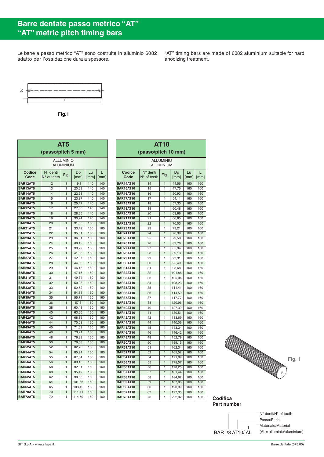## **Barre dentate passo metrico "AT" "AT" metric pitch timing bars**

Le barre a passo metrico "AT" sono costruite in alluminio 6082 adatto per l'ossidazione dura a spessore.

"AT" timing bars are made of 6082 aluminium suitable for hard anodizing treatment.



**Fig.1**

| AT <sub>5</sub><br>(passo/pitch 5 mm) |                                                                              |                |        |     |     |  |  |  |
|---------------------------------------|------------------------------------------------------------------------------|----------------|--------|-----|-----|--|--|--|
| <b>ALLUMINIO</b><br><b>ALUMINIUM</b>  |                                                                              |                |        |     |     |  |  |  |
| Codice<br>Code                        | $N^{\circ}$ denti<br>Lu<br>Dp<br>Fig.<br>N° of teeth<br>[mm]<br>[mm]<br>[mm] |                |        |     |     |  |  |  |
| <b>BAR12AT5</b>                       | 12                                                                           | $\mathbf{1}$   | 19,1   | 140 | 140 |  |  |  |
| BAR13AT5                              | 13                                                                           | 1              | 20,69  | 140 | 140 |  |  |  |
| <b>BAR14AT5</b>                       | 14                                                                           | $\mathbf{1}$   | 22,28  | 140 | 140 |  |  |  |
| BAR15AT5                              | 15                                                                           | 1              | 23,87  | 140 | 140 |  |  |  |
| BAR16AT5                              | 16                                                                           | $\mathbf{1}$   | 25,47  | 140 | 140 |  |  |  |
| <b>BAR17AT5</b>                       | 17                                                                           | 1              | 27,06  | 140 | 140 |  |  |  |
| BAR18AT5                              | 18                                                                           | $\mathbf{1}$   | 28,65  | 140 | 140 |  |  |  |
| BAR19AT5                              | 19                                                                           | 1              | 30,24  | 140 | 140 |  |  |  |
| BAR20AT5                              | 20                                                                           | $\mathbf{1}$   | 31,83  | 160 | 160 |  |  |  |
| <b>BAR21AT5</b>                       | 21                                                                           | 1              | 33,42  | 160 | 160 |  |  |  |
| <b>BAR22AT5</b>                       | 22                                                                           | $\overline{1}$ | 35,01  | 160 | 160 |  |  |  |
| BAR23AT5                              | 23                                                                           | 1              | 36,61  | 160 | 160 |  |  |  |
| <b>BAR24AT5</b>                       | 24                                                                           | $\mathbf{1}$   | 38,19  | 160 | 160 |  |  |  |
| BAR25AT5                              | 25                                                                           | 1              | 39,79  | 160 | 160 |  |  |  |
| <b>BAR26AT5</b>                       | 26                                                                           | $\mathbf{1}$   | 41,38  | 160 | 160 |  |  |  |
| <b>BAR27AT5</b>                       | 27                                                                           | 1              | 42,97  | 160 | 160 |  |  |  |
| <b>BAR28AT5</b>                       | 28                                                                           | $\mathbf{1}$   | 44,56  | 160 | 160 |  |  |  |
| BAR29AT5                              | 29                                                                           | 1              | 46,16  | 160 | 160 |  |  |  |
| <b>BAR30AT5</b>                       | 30                                                                           | $\mathbf{1}$   | 47,15  | 160 | 160 |  |  |  |
| BAR31AT5                              | 31                                                                           | 1              | 49,34  | 160 | 160 |  |  |  |
| BAR32AT5                              | 32                                                                           | $\mathbf{1}$   | 50,93  | 160 | 160 |  |  |  |
| <b>BAR33AT5</b>                       | 33                                                                           | 1              | 52,52  | 160 | 160 |  |  |  |
| BAR34AT5                              | 34                                                                           | $\mathbf{1}$   | 54,11  | 160 | 160 |  |  |  |
| BAR35AT5                              | 35                                                                           | 1              | 55,71  | 160 | 160 |  |  |  |
| BAR36AT5                              | 36                                                                           | $\mathbf{1}$   | 57,3   | 160 | 160 |  |  |  |
| BAR38AT5                              | 38                                                                           | 1              | 60,48  | 160 | 160 |  |  |  |
| BAR40AT5                              | 40                                                                           | $\mathbf{1}$   | 63,66  | 160 | 160 |  |  |  |
| BAR42AT5                              | 42                                                                           | 1              | 68,85  | 160 | 160 |  |  |  |
| <b>BAR44AT5</b>                       | 44                                                                           | $\mathbf{1}$   | 70,03  | 160 | 160 |  |  |  |
| <b>BAR45AT5</b>                       | 45                                                                           | 1              | 71,62  | 160 | 160 |  |  |  |
| <b>BAR46AT5</b>                       | 46                                                                           | $\mathbf{1}$   | 73,21  | 160 | 160 |  |  |  |
| <b>BAR48AT5</b>                       | 48                                                                           | 1              | 76,39  | 160 | 160 |  |  |  |
| BAR50AT5                              | 50                                                                           | $\mathbf{1}$   | 79,58  | 160 | 160 |  |  |  |
| BAR52AT5                              | 52                                                                           | 1              | 82,76  | 160 | 160 |  |  |  |
| <b>BAR54AT5</b>                       | 54                                                                           | $\mathbf{1}$   | 85,94  | 160 | 160 |  |  |  |
| BAR55AT5                              | 55                                                                           | 1              | 87,54  | 160 | 160 |  |  |  |
| BAR56AT5                              | 56                                                                           | $\overline{1}$ | 89,13  | 160 | 160 |  |  |  |
| BAR58AT5                              | 58                                                                           | 1              | 92,31  | 160 | 160 |  |  |  |
| BAR60AT5                              | 60                                                                           | $\mathbf{1}$   | 95,49  | 160 | 160 |  |  |  |
| BAR62AT5                              | 62                                                                           | 1              | 98,68  | 160 | 160 |  |  |  |
| BAR64AT5                              | 64                                                                           | $\mathbf{1}$   | 101,86 | 160 | 160 |  |  |  |
| <b>BAR65AT5</b>                       | 65                                                                           | 1              | 103,45 | 160 | 160 |  |  |  |
| BAR70AT5                              | 70                                                                           | $\mathbf{1}$   | 111,41 | 160 | 160 |  |  |  |
| BAR72AT5                              | 72                                                                           | 1              | 114,59 | 160 | 160 |  |  |  |
|                                       |                                                                              |                |        |     |     |  |  |  |

| <b>AT10</b><br>(passo/pitch 10 mm)   |                                           |                |                  |            |            |  |  |  |
|--------------------------------------|-------------------------------------------|----------------|------------------|------------|------------|--|--|--|
| <b>ALLUMINIO</b>                     |                                           |                |                  |            |            |  |  |  |
| ALUMINIUM                            |                                           |                |                  |            |            |  |  |  |
| Codice<br>Code                       | $N^{\circ}$ denti<br>$N^{\circ}$ of teeth | Fig.           | Dp<br>[mm]       | Lu<br>[mm] | L<br>[mm]  |  |  |  |
| <b>BAR14AT10</b>                     | 14                                        | 1              | 44,56            | 160        | 160        |  |  |  |
| <b>BAR15AT10</b>                     | 15                                        | 1              | 47,75            | 160        | 160        |  |  |  |
| <b>BAR16AT10</b>                     | 16                                        | 1              | 50,93            | 160        | 160        |  |  |  |
| <b>BAR17AT10</b>                     | 17                                        | 1              | 54,11            | 160        | 160        |  |  |  |
| <b>BAR18AT10</b>                     | 18                                        | 1              | 57,30            | 160        | 160        |  |  |  |
| <b>BAR19AT10</b>                     | 19                                        | 1              | 60,48            | 160        | 160        |  |  |  |
| <b>BAR20AT10</b>                     | 20                                        | 1              | 63,66            | 160        | 160        |  |  |  |
| <b>BAR21AT10</b>                     | 21                                        | 1              | 66,85            | 160        | 160        |  |  |  |
| <b>BAR22AT10</b>                     | 22                                        | 1              | 70,03            | 160        | 160        |  |  |  |
| <b>BAR23AT10</b>                     | 23                                        | 1              | 73,21            | 160        | 160        |  |  |  |
| <b>BAR24AT10</b>                     | 24                                        | 1              | 76,39            | 160        | 160        |  |  |  |
| <b>BAR25AT10</b>                     | 25                                        | 1              | 79,58            | 160        | 160        |  |  |  |
| <b>BAR26AT10</b>                     | 26                                        | 1              | 82,76            | 160        | 160        |  |  |  |
| <b>BAR27AT10</b>                     | 27                                        | 1              | 85,94            | 160        | 160        |  |  |  |
| <b>BAR28AT10</b>                     | 28                                        | 1              | 89,13            | 160        | 160        |  |  |  |
| <b>BAR29AT10</b>                     | 29                                        | $\overline{1}$ | 92,31            | 160        | 160        |  |  |  |
| <b>BAR30AT10</b>                     | 30                                        | 1              | 95,49            | 160        | 160        |  |  |  |
| <b>BAR31AT10</b>                     | 31                                        | 1              | 98,68            | 160        | 160        |  |  |  |
| <b>BAR32AT10</b>                     | 32                                        | $\overline{1}$ | 101,86           | 160        | 160        |  |  |  |
| <b>BAR33AT10</b>                     | 33                                        | 1              | 105,04           | 160        | 160        |  |  |  |
| <b>BAR34AT10</b>                     | 34                                        | 1              | 108,23           | 160        | 160        |  |  |  |
| <b>BAR35AT10</b>                     | 35                                        | 1              | 111,41           | 160        | 160        |  |  |  |
| <b>BAR36AT10</b>                     | 36                                        | $\overline{1}$ | 114,59           | 160        | 160        |  |  |  |
| <b>BAR37AT10</b>                     | 37                                        | 1              | 117,77           | 160        | 160        |  |  |  |
| <b>BAR38AT10</b>                     | 38                                        | 1              | 120,96           | 160        | 160        |  |  |  |
| <b>BAR40AT10</b>                     | 40                                        | 1              | 127,32           | 160        | 160        |  |  |  |
| <b>BAR41AT10</b>                     | 41                                        | 1              | 130,51           | 160        | 160        |  |  |  |
| <b>BAR42AT10</b>                     | 42                                        | 1              | 133,69           | 160        | 160        |  |  |  |
| <b>BAR44AT10</b>                     | 44                                        | 1              | 140,06           | 160        | 160        |  |  |  |
| <b>BAR45AT10</b>                     | 45                                        | 1              | 143,24           | 160        | 160        |  |  |  |
| <b>BAR46AT10</b>                     | 46                                        | 1              | 146,42           | 160        | 160        |  |  |  |
| <b>BAR48AT10</b>                     | 48                                        | 1              | 152,79           | 160        | 160        |  |  |  |
| <b>BAR50AT10</b>                     | 50                                        | 1              | 159,15           | 160        | 160        |  |  |  |
| <b>BAR51AT10</b>                     | 51                                        | 1              | 162,34           | 160        | 160        |  |  |  |
| <b>BAR52AT10</b><br><b>BAR54AT10</b> | 52                                        | 1<br>1         | 165,52           | 160        | 160        |  |  |  |
|                                      | 54                                        |                | 171,89           | 160        | 160        |  |  |  |
| <b>BAR55AT10</b><br><b>BAR56AT10</b> | 55<br>56                                  | 1<br>1         | 175,07<br>178,25 | 160<br>160 | 160<br>160 |  |  |  |
| <b>BAR57AT10</b>                     |                                           |                |                  |            |            |  |  |  |
| <b>BAR58AT10</b>                     | 57                                        | 1<br>1         | 181,44           | 160<br>160 | 160<br>160 |  |  |  |
| <b>BAR59AT10</b>                     | 58<br>59                                  | 1              | 184,62<br>187,80 | 160        | 160        |  |  |  |
| <b>BAR60AT10</b>                     | 60                                        | 1              | 190,99           | 160        | 160        |  |  |  |
| <b>BAR62AT10</b>                     | 62                                        | 1              | 197,35           | 160        | 160        |  |  |  |
| <b>BAR70AT10</b>                     | 70                                        | 1              | 222,82           | 160        | 160        |  |  |  |
|                                      |                                           |                |                  |            |            |  |  |  |



 $B$ **Codifica Part number**

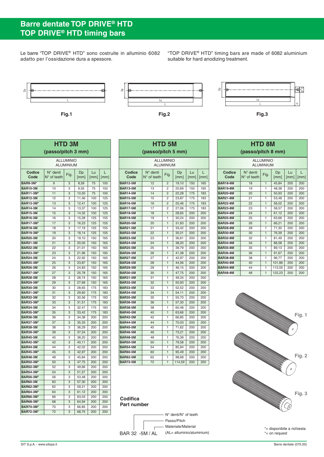## **Barre dentate TOP DRIVE® HTD TOP DRIVE® HTD timing bars**

Le barre "TOP DRIVE® HTD" sono costruite in alluminio 6082 adatto per l'ossidazione dura a spessore.

"TOP DRIVE® HTD" timing bars are made of 6082 aluminium suitable for hard anodizing treatment.



| <b>HTD 3M</b>                       |                                           |        |                |            |            |  |  |
|-------------------------------------|-------------------------------------------|--------|----------------|------------|------------|--|--|
| (passo/pitch 3 mm)                  |                                           |        |                |            |            |  |  |
| <b>ALLUMINIO</b><br>ALUMINIUM       |                                           |        |                |            |            |  |  |
| Codice<br>Code                      | $N^{\circ}$ denti<br>$N^{\circ}$ of teeth | Fig.   | Dp<br>[mm]     | Lu<br>[mm] | L<br>[mm]  |  |  |
| <b>BAR9-3M*</b>                     | 9                                         | 3      | 8,59           | 75         | 100        |  |  |
| <b>BAR10-3M</b>                     | 10                                        | 3      | 9,55           | 75         | 100        |  |  |
| <b>BAR11-3M*</b>                    | 11                                        | 3      | 10,50          | 75         | 100        |  |  |
| <b>BAR12-3M</b>                     | 12                                        | 3      | 11,46          | 100        | 125        |  |  |
| <b>BAR13-3M*</b>                    | 13                                        | 3      | 12,41          | 100        | 125        |  |  |
| <b>BAR14-3M</b>                     | 14                                        | 3      | 13,37          | 100        | 125        |  |  |
| <b>BAR15-3M</b>                     | 15                                        | 3      | 14,32          | 100        | 125        |  |  |
| <b>BAR16-3M</b>                     | 16                                        | 3      | 15,28          | 125        | 155        |  |  |
| <b>BAR17-3M*</b>                    | 17                                        | 3      | 16,23          | 125        | 155        |  |  |
| <b>BAR18-3M</b>                     | 18                                        | 3      | 17,19          | 125        | 155        |  |  |
| <b>BAR19-3M*</b>                    | 19                                        | 3      | 18,14          | 125        | 155        |  |  |
| <b>BAR20-3M</b>                     | 20                                        | 3      | 19,10          | 150        | 165        |  |  |
| <b>BAR21-3M</b>                     | 21                                        | 3      | 20,05          | 150        | 165        |  |  |
| <b>BAR22-3M</b>                     | 22                                        | 3      | 21,01          | 150        | 165        |  |  |
| <b>BAR23-3M*</b>                    | 23                                        | 3      | 21,96          | 150        | 165        |  |  |
| <b>BAR24-3M</b>                     | 24                                        | 3      | 22,92          | 150        | 165        |  |  |
| <b>BAR25-3M*</b>                    | 25                                        | 3      | 23,87          | 150        | 165        |  |  |
| <b>BAR26-3M</b>                     | 26                                        | 3      | 24,83          | 150        | 165        |  |  |
| <b>BAR27-3M*</b>                    | 27                                        | 3      | 25,78          | 150        | 165        |  |  |
| <b>BAR28-3M</b>                     | 28                                        | 3      | 26,74          | 150        | 165        |  |  |
| <b>BAR29-3M*</b>                    | 29                                        | 3      | 27,69          | 150        | 165        |  |  |
| <b>BAR30-3M</b>                     | 30                                        | 3      | 28,65          | 175        | 183        |  |  |
| <b>BAR31-3M*</b>                    | 31                                        | 3      | 29,60          | 175        | 183        |  |  |
| <b>BAR32-3M</b>                     | 32                                        | 3      | 30,56          | 175        | 183        |  |  |
| <b>BAR33-3M*</b>                    | 33<br>34                                  | 3<br>3 | 31,51          | 175<br>175 | 183        |  |  |
| <b>BAR34-3M</b><br><b>BAR35-3M*</b> | 35                                        | 3      | 32,47<br>33,42 | 175        | 183<br>183 |  |  |
| <b>BAR36-3M</b>                     | 36                                        | 3      | 34,38          | 200        | 200        |  |  |
| <b>BAR37-3M*</b>                    | 37                                        | 3      | 35,33          | 200        | 200        |  |  |
| <b>BAR38-3M</b>                     | 38                                        | 3      | 36,29          | 200        | 200        |  |  |
| <b>BAR39-3M*</b>                    | 39                                        | 3      | 37,24          | 200        | 200        |  |  |
| <b>BAR40-3M</b>                     | 40                                        | 3      | 38,20          | 200        | 200        |  |  |
| <b>BAR42-3M*</b>                    | 42                                        | 3      | 40,11          | 200        | 200        |  |  |
| <b>BAR44-3M</b>                     | 44                                        | 3      | 42,02          | 200        | 200        |  |  |
| <b>BAR45-3M*</b>                    | 45                                        | 3      | 42,97          | 200        | 200        |  |  |
| <b>BAR48-3M</b>                     | 48                                        | 3      | 45,84          | 200        | 200        |  |  |
| <b>BAR50-3M*</b>                    | 50                                        | 3      | 47,75          | 200        | 200        |  |  |
| <b>BAR52-3M*</b>                    | 52                                        | 3      | 49,66          | 200        | 200        |  |  |
| <b>BAR54-3M*</b>                    | 54                                        | 3      | 51,57          | 200        | 200        |  |  |
| <b>BAR56-3M*</b>                    | 56                                        | 3      | 53,48          | 200        | 200        |  |  |
| <b>BAR60-3M</b>                     | 60                                        | 3      | 57,30          | 200        | 200        |  |  |
| <b>BAR62-3M*</b>                    | 62                                        | 3      | 59,21          | 200        | 200        |  |  |
| <b>BAR64-3M*</b>                    | 64                                        | 3      | 61,12          | 200        | 200        |  |  |
| <b>BAR66-3M*</b>                    | 66                                        | 3      | 63,03          | 200        | 200        |  |  |
| <b>BAR68-3M*</b>                    | 68                                        | 3      | 64,94          | 200        | 200        |  |  |
| <b>BAR70-3M*</b>                    | 70                                        | 3      | 66,85          | 200        | 200        |  |  |
| <b>BAR72-3M*</b>                    | 72                                        | 3      | 68,75          | 200        | 200        |  |  |

| <b>HTD 5M</b><br>(passo/pitch 5 mm)  |                                           |                |            |            |           |  |  |
|--------------------------------------|-------------------------------------------|----------------|------------|------------|-----------|--|--|
| <b>ALLUMINIO</b><br><b>ALUMINIUM</b> |                                           |                |            |            |           |  |  |
| Codice<br>Code                       | $N^{\circ}$ denti<br>$N^{\circ}$ of teeth | Fig.           | Dp<br>[mm] | Lu<br>[mm] | L<br>[mm] |  |  |
| <b>BAR12-5M</b>                      | 12                                        | $\overline{2}$ | 19,10      | 150        | 165       |  |  |
| <b>BAR13-5M</b>                      | 13                                        | 2              | 20,69      | 150        | 165       |  |  |
| <b>BAR14-5M</b>                      | 14                                        | $\overline{c}$ | 22,28      | 175        | 183       |  |  |
| <b>BAR15-5M</b>                      | 15                                        | $\overline{c}$ | 23,87      | 175        | 183       |  |  |
| <b>BAR16-5M</b>                      | 16                                        | $\overline{2}$ | 25,46      | 175        | 183       |  |  |
| <b>BAR17-5M</b>                      | 17                                        | $\overline{c}$ | 27,06      | 175        | 183       |  |  |
| <b>BAR18-5M</b>                      | 18                                        | $\mathbf{1}$   | 28,65      | 200        | 200       |  |  |
| <b>BAR19-5M</b>                      | 19                                        | 1              | 30,24      | 200        | 200       |  |  |
| <b>BAR20-5M</b>                      | 20                                        | 1              | 31,83      | 200        | 200       |  |  |
| <b>BAR21-5M</b>                      | 21                                        | 1              | 33,42      | 200        | 200       |  |  |
| <b>BAR22-5M</b>                      | 22                                        | 1              | 35,01      | 200        | 200       |  |  |
| <b>BAR23-5M</b>                      | 23                                        | 1              | 36,61      | 200        | 200       |  |  |
| <b>BAR24-5M</b>                      | 24                                        | 1              | 38,20      | 200        | 200       |  |  |
| <b>BAR25-5M</b>                      | 25                                        | 1              | 39,79      | 200        | 200       |  |  |
| <b>BAR26-5M</b>                      | 26                                        | $\mathbf{1}$   | 41,38      | 200        | 200       |  |  |
| <b>BAR27-5M</b>                      | 27                                        | 1              | 42,97      | 200        | 200       |  |  |
| <b>BAR28-5M</b>                      | 28                                        | $\mathbf{1}$   | 44,56      | 200        | 200       |  |  |
| <b>BAR29-5M</b>                      | 29                                        | 1              | 46,15      | 200        | 200       |  |  |
| <b>BAR30-5M</b>                      | 30                                        | $\mathbf{1}$   | 47,75      | 200        | 200       |  |  |
| <b>BAR31-5M</b>                      | 31                                        | 1              | 49,34      | 200        | 200       |  |  |
| <b>BAR32-5M</b>                      | 32                                        | $\mathbf{1}$   | 50,93      | 200        | 200       |  |  |
| <b>BAR33-5M</b>                      | 33                                        | 1              | 52,52      | 200        | 200       |  |  |
| <b>BAR34-5M</b>                      | 34                                        | 1              | 54,11      | 200        | 200       |  |  |
| <b>BAR35-5M</b>                      | 35                                        | 1              | 55,70      | 200        | 200       |  |  |
| <b>BAR36-5M</b>                      | 36                                        | $\overline{1}$ | 57,30      | 200        | 200       |  |  |
| <b>BAR38-5M</b>                      | 38                                        | 1              | 60,48      | 200        | 200       |  |  |
| <b>BAR40-5M</b>                      | 40                                        | $\mathbf{1}$   | 63,66      | 200        | 200       |  |  |
| <b>BAR42-5M</b>                      | 42                                        | 1              | 66,85      | 200        | 200       |  |  |
| <b>BAR44-5M</b>                      | 44                                        | $\mathbf{1}$   | 70,03      | 200        | 200       |  |  |
| <b>BAR45-5M</b>                      | 45                                        | 1              | 71,62      | 200        | 200       |  |  |
| <b>BAR46-5M</b>                      | 46                                        | $\mathbf{1}$   | 73,21      | 200        | 200       |  |  |
| <b>BAR48-5M</b>                      | 48                                        | 1              | 76,39      | 200        | 200       |  |  |
| <b>BAR50-5M</b>                      | 50                                        | $\mathbf{1}$   | 79,58      | 200        | 200       |  |  |
| <b>BAR54-5M</b>                      | 54                                        | 1              | 85,94      | 200        | 200       |  |  |
| <b>BAR60-5M</b>                      | 60                                        | $\overline{1}$ | 95,49      | 200        | 200       |  |  |
| <b>BAR62-5M</b>                      | 62                                        | 1              | 98,68      | 200        | 200       |  |  |
| <b>BAR72-5M</b>                      | 72                                        | $\mathbf{1}$   | 114,59     | 200        | 200       |  |  |

| <b>HTD 8M</b><br>(passo/pitch 8 mm) |                                           |                                      |            |            |           |  |
|-------------------------------------|-------------------------------------------|--------------------------------------|------------|------------|-----------|--|
|                                     |                                           | <b>ALLUMINIO</b><br><b>ALUMINIUM</b> |            |            |           |  |
| Codice<br>Code                      | $N^{\circ}$ denti<br>$N^{\circ}$ of teeth | Fig.                                 | Dp<br>[mm] | Tп<br>[mm] | L<br>[mm] |  |
| <b>BAR18-8M</b>                     | 18                                        | $\mathbf{1}$                         | 45,84      | 200        | 200       |  |
| <b>BAR19-8M</b>                     | 19                                        | 1                                    | 48.38      | 200        | 200       |  |
| <b>BAR20-8M</b>                     | 20                                        | $\mathbf{1}$                         | 50,93      | 200        | 200       |  |
| <b>BAR21-8M</b>                     | 21                                        | 1                                    | 53,48      | 200        | 200       |  |
| <b>BAR22-8M</b>                     | 22                                        | $\mathbf{1}$                         | 56,02      | 200        | 200       |  |
| <b>BAR23-8M</b>                     | 23                                        | 1                                    | 58,57      | 200        | 200       |  |
| <b>BAR24-8M</b>                     | 24                                        | $\mathbf{1}$                         | 61,12      | 200        | 200       |  |
| <b>BAR25-8M</b>                     | 25                                        | 1                                    | 63.66      | 200        | 200       |  |
| <b>BAR26-8M</b>                     | 26                                        | $\mathbf{1}$                         | 66.21      | 200        | 200       |  |
| <b>BAR28-8M</b>                     | 28                                        | 1                                    | 71.30      | 200        | 200       |  |
| <b>BAR30-8M</b>                     | 30                                        | $\mathbf{1}$                         | 76.39      | 200        | 200       |  |
| <b>BAR32-8M</b>                     | 32                                        | 1                                    | 81.49      | 200        | 200       |  |
| <b>BAR34-8M</b>                     | 34                                        | $\mathbf{1}$                         | 86.58      | 200        | 200       |  |
| <b>BAR35-8M</b>                     | 35                                        | 1                                    | 89,13      | 200        | 200       |  |
| <b>BAR36-8M</b>                     | 36                                        | $\mathbf{1}$                         | 91.67      | 200        | 200       |  |
| <b>BAR38-8M</b>                     | 38                                        | 1                                    | 96,77      | 200        | 200       |  |
| <b>BAR40-8M</b>                     | 40                                        | $\overline{1}$                       | 101,86     | 200        | 200       |  |
| <b>BAR44-8M</b>                     | 44                                        | 1                                    | 112,05     | 200        | 200       |  |
| <b>BAR48-8M</b>                     | 48                                        | $\mathbf{1}$                         | 122,23     | 200        | 200       |  |



**Codifica Part number**



\*= disponibile a richiesta \*= on request